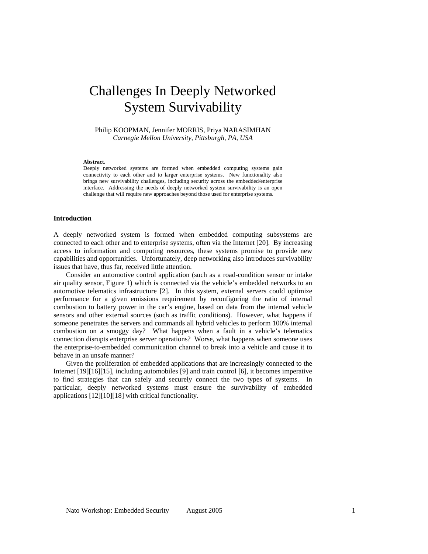# Challenges In Deeply Networked System Survivability

## Philip KOOPMAN, Jennifer MORRIS, Priya NARASIMHAN *Carnegie Mellon University, Pittsburgh, PA, USA*

#### **Abstract.**

Deeply networked systems are formed when embedded computing systems gain connectivity to each other and to larger enterprise systems. New functionality also brings new survivability challenges, including security across the embedded/enterprise interface. Addressing the needs of deeply networked system survivability is an open challenge that will require new approaches beyond those used for enterprise systems.

#### **Introduction**

A deeply networked system is formed when embedded computing subsystems are connected to each other and to enterprise systems, often via the Internet [20]. By increasing access to information and computing resources, these systems promise to provide new capabilities and opportunities. Unfortunately, deep networking also introduces survivability issues that have, thus far, received little attention.

Consider an automotive control application (such as a road-condition sensor or intake air quality sensor, Figure 1) which is connected via the vehicle's embedded networks to an automotive telematics infrastructure [2]. In this system, external servers could optimize performance for a given emissions requirement by reconfiguring the ratio of internal combustion to battery power in the car's engine, based on data from the internal vehicle sensors and other external sources (such as traffic conditions). However, what happens if someone penetrates the servers and commands all hybrid vehicles to perform 100% internal combustion on a smoggy day? What happens when a fault in a vehicle's telematics connection disrupts enterprise server operations? Worse, what happens when someone uses the enterprise-to-embedded communication channel to break into a vehicle and cause it to behave in an unsafe manner?

Given the proliferation of embedded applications that are increasingly connected to the Internet [19][16][15], including automobiles [9] and train control [6], it becomes imperative to find strategies that can safely and securely connect the two types of systems. In particular, deeply networked systems must ensure the survivability of embedded applications [12][10][18] with critical functionality.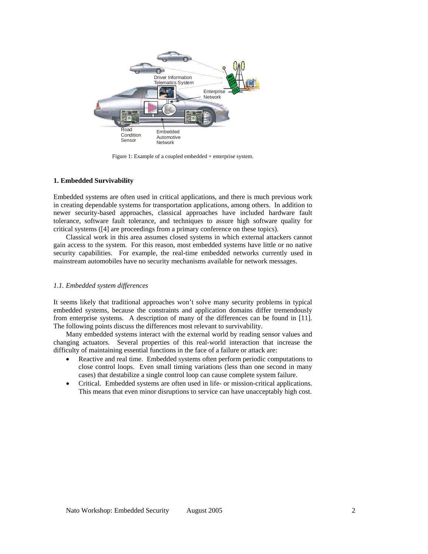

Figure 1: Example of a coupled embedded + enterprise system.

## **1. Embedded Survivability**

Embedded systems are often used in critical applications, and there is much previous work in creating dependable systems for transportation applications, among others. In addition to newer security-based approaches, classical approaches have included hardware fault tolerance, software fault tolerance, and techniques to assure high software quality for critical systems ([4] are proceedings from a primary conference on these topics).

Classical work in this area assumes closed systems in which external attackers cannot gain access to the system. For this reason, most embedded systems have little or no native security capabilities. For example, the real-time embedded networks currently used in mainstream automobiles have no security mechanisms available for network messages.

### *1.1. Embedded system differences*

It seems likely that traditional approaches won't solve many security problems in typical embedded systems, because the constraints and application domains differ tremendously from enterprise systems. A description of many of the differences can be found in [11]. The following points discuss the differences most relevant to survivability.

Many embedded systems interact with the external world by reading sensor values and changing actuators. Several properties of this real-world interaction that increase the difficulty of maintaining essential functions in the face of a failure or attack are:

- Reactive and real time. Embedded systems often perform periodic computations to close control loops. Even small timing variations (less than one second in many cases) that destabilize a single control loop can cause complete system failure.
- Critical. Embedded systems are often used in life- or mission-critical applications. This means that even minor disruptions to service can have unacceptably high cost.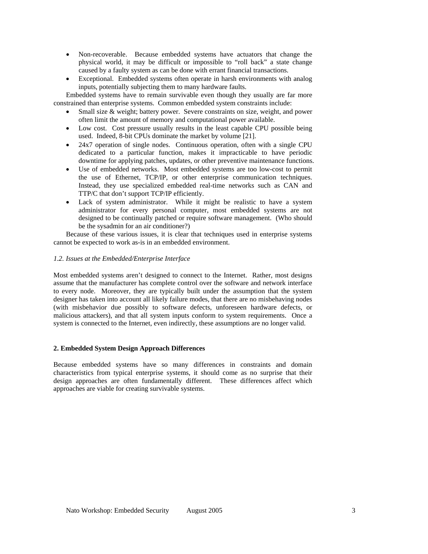- Non-recoverable. Because embedded systems have actuators that change the physical world, it may be difficult or impossible to "roll back" a state change caused by a faulty system as can be done with errant financial transactions.
- Exceptional. Embedded systems often operate in harsh environments with analog inputs, potentially subjecting them to many hardware faults.

Embedded systems have to remain survivable even though they usually are far more constrained than enterprise systems. Common embedded system constraints include:

- Small size & weight; battery power. Severe constraints on size, weight, and power often limit the amount of memory and computational power available.
- Low cost. Cost pressure usually results in the least capable CPU possible being used. Indeed, 8-bit CPUs dominate the market by volume [21].
- 24x7 operation of single nodes. Continuous operation, often with a single CPU dedicated to a particular function, makes it impracticable to have periodic downtime for applying patches, updates, or other preventive maintenance functions.
- Use of embedded networks. Most embedded systems are too low-cost to permit the use of Ethernet, TCP/IP, or other enterprise communication techniques. Instead, they use specialized embedded real-time networks such as CAN and TTP/C that don't support TCP/IP efficiently.
- Lack of system administrator. While it might be realistic to have a system administrator for every personal computer, most embedded systems are not designed to be continually patched or require software management. (Who should be the sysadmin for an air conditioner?)

Because of these various issues, it is clear that techniques used in enterprise systems cannot be expected to work as-is in an embedded environment.

## *1.2. Issues at the Embedded/Enterprise Interface*

Most embedded systems aren't designed to connect to the Internet. Rather, most designs assume that the manufacturer has complete control over the software and network interface to every node. Moreover, they are typically built under the assumption that the system designer has taken into account all likely failure modes, that there are no misbehaving nodes (with misbehavior due possibly to software defects, unforeseen hardware defects, or malicious attackers), and that all system inputs conform to system requirements. Once a system is connected to the Internet, even indirectly, these assumptions are no longer valid.

#### **2. Embedded System Design Approach Differences**

Because embedded systems have so many differences in constraints and domain characteristics from typical enterprise systems, it should come as no surprise that their design approaches are often fundamentally different. These differences affect which approaches are viable for creating survivable systems.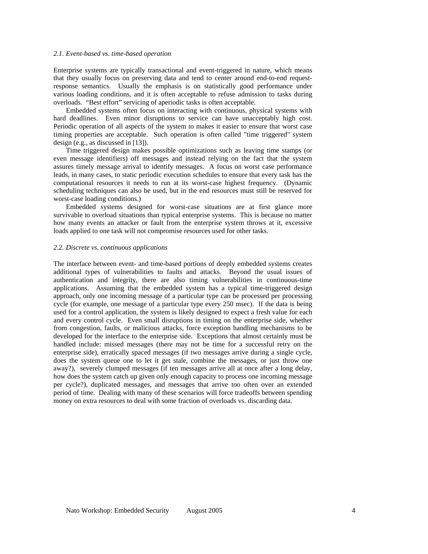## *2.1. Event-based vs. time-based operation*

Enterprise systems are typically transactional and event-triggered in nature, which means that they usually focus on preserving data and tend to center around end-to-end requestresponse semantics. Usually the emphasis is on statistically good performance under various loading conditions, and it is often acceptable to refuse admission to tasks during overloads. "Best effort" servicing of aperiodic tasks is often acceptable.

Embedded systems often focus on interacting with continuous, physical systems with hard deadlines. Even minor disruptions to service can have unacceptably high cost. Periodic operation of all aspects of the system to makes it easier to ensure that worst case timing properties are acceptable. Such operation is often called "time triggered" system design (e.g., as discussed in [13]).

Time triggered design makes possible optimizations such as leaving time stamps (or even message identifiers) off messages and instead relying on the fact that the system assures timely message arrival to identify messages. A focus on worst case performance leads, in many cases, to static periodic execution schedules to ensure that every task has the computational resources it needs to run at its worst-case highest frequency. (Dynamic scheduling techniques can also be used, but in the end resources must still be reserved for worst-case loading conditions.)

Embedded systems designed for worst-case situations are at first glance more survivable to overload situations than typical enterprise systems. This is because no matter how many events an attacker or fault from the enterprise system throws at it, excessive loads applied to one task will not compromise resources used for other tasks.

#### *2.2. Discrete vs. continuous applications*

The interface between event- and time-based portions of deeply embedded systems creates additional types of vulnerabilities to faults and attacks. Beyond the usual issues of authentication and integrity, there are also timing vulnerabilities in continuous-time applications. Assuming that the embedded system has a typical time-triggered design approach, only one incoming message of a particular type can be processed per processing cycle (for example, one message of a particular type every 250 msec). If the data is being used for a control application, the system is likely designed to expect a fresh value for each and every control cycle. Even small disruptions in timing on the enterprise side, whether from congestion, faults, or malicious attacks, force exception handling mechanisms to be developed for the interface to the enterprise side. Exceptions that almost certainly must be handled include: missed messages (there may not be time for a successful retry on the enterprise side), erratically spaced messages (if two messages arrive during a single cycle, does the system queue one to let it get stale, combine the messages, or just throw one away?), severely clumped messages (if ten messages arrive all at once after a long delay, how does the system catch up given only enough capacity to process one incoming message per cycle?), duplicated messages, and messages that arrive too often over an extended period of time. Dealing with many of these scenarios will force tradeoffs between spending money on extra resources to deal with some fraction of overloads vs. discarding data.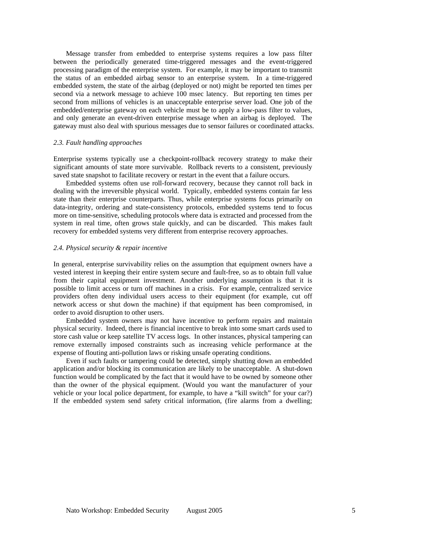Message transfer from embedded to enterprise systems requires a low pass filter between the periodically generated time-triggered messages and the event-triggered processing paradigm of the enterprise system. For example, it may be important to transmit the status of an embedded airbag sensor to an enterprise system. In a time-triggered embedded system, the state of the airbag (deployed or not) might be reported ten times per second via a network message to achieve 100 msec latency. But reporting ten times per second from millions of vehicles is an unacceptable enterprise server load. One job of the embedded/enterprise gateway on each vehicle must be to apply a low-pass filter to values, and only generate an event-driven enterprise message when an airbag is deployed. The gateway must also deal with spurious messages due to sensor failures or coordinated attacks.

## *2.3. Fault handling approaches*

Enterprise systems typically use a checkpoint-rollback recovery strategy to make their significant amounts of state more survivable. Rollback reverts to a consistent, previously saved state snapshot to facilitate recovery or restart in the event that a failure occurs.

Embedded systems often use roll-forward recovery, because they cannot roll back in dealing with the irreversible physical world. Typically, embedded systems contain far less state than their enterprise counterparts. Thus, while enterprise systems focus primarily on data-integrity, ordering and state-consistency protocols, embedded systems tend to focus more on time-sensitive, scheduling protocols where data is extracted and processed from the system in real time, often grows stale quickly, and can be discarded. This makes fault recovery for embedded systems very different from enterprise recovery approaches.

## *2.4. Physical security & repair incentive*

In general, enterprise survivability relies on the assumption that equipment owners have a vested interest in keeping their entire system secure and fault-free, so as to obtain full value from their capital equipment investment. Another underlying assumption is that it is possible to limit access or turn off machines in a crisis. For example, centralized service providers often deny individual users access to their equipment (for example, cut off network access or shut down the machine) if that equipment has been compromised, in order to avoid disruption to other users.

Embedded system owners may not have incentive to perform repairs and maintain physical security. Indeed, there is financial incentive to break into some smart cards used to store cash value or keep satellite TV access logs. In other instances, physical tampering can remove externally imposed constraints such as increasing vehicle performance at the expense of flouting anti-pollution laws or risking unsafe operating conditions.

Even if such faults or tampering could be detected, simply shutting down an embedded application and/or blocking its communication are likely to be unacceptable. A shut-down function would be complicated by the fact that it would have to be owned by someone other than the owner of the physical equipment. (Would you want the manufacturer of your vehicle or your local police department, for example, to have a "kill switch" for your car?) If the embedded system send safety critical information, (fire alarms from a dwelling;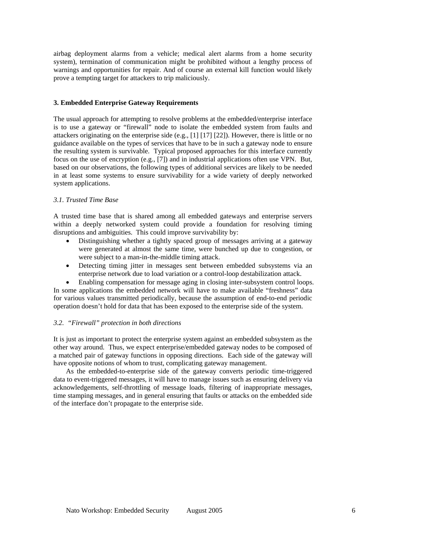airbag deployment alarms from a vehicle; medical alert alarms from a home security system), termination of communication might be prohibited without a lengthy process of warnings and opportunities for repair. And of course an external kill function would likely prove a tempting target for attackers to trip maliciously.

## **3. Embedded Enterprise Gateway Requirements**

The usual approach for attempting to resolve problems at the embedded/enterprise interface is to use a gateway or "firewall" node to isolate the embedded system from faults and attackers originating on the enterprise side (e.g., [1] [17] [22]). However, there is little or no guidance available on the types of services that have to be in such a gateway node to ensure the resulting system is survivable. Typical proposed approaches for this interface currently focus on the use of encryption (e.g., [7]) and in industrial applications often use VPN. But, based on our observations, the following types of additional services are likely to be needed in at least some systems to ensure survivability for a wide variety of deeply networked system applications.

## *3.1. Trusted Time Base*

A trusted time base that is shared among all embedded gateways and enterprise servers within a deeply networked system could provide a foundation for resolving timing disruptions and ambiguities. This could improve survivability by:

- Distinguishing whether a tightly spaced group of messages arriving at a gateway were generated at almost the same time, were bunched up due to congestion, or were subject to a man-in-the-middle timing attack.
- Detecting timing jitter in messages sent between embedded subsystems via an enterprise network due to load variation or a control-loop destabilization attack.
- Enabling compensation for message aging in closing inter-subsystem control loops.

In some applications the embedded network will have to make available "freshness" data for various values transmitted periodically, because the assumption of end-to-end periodic operation doesn't hold for data that has been exposed to the enterprise side of the system.

## *3.2. "Firewall" protection in both directions*

It is just as important to protect the enterprise system against an embedded subsystem as the other way around. Thus, we expect enterprise/embedded gateway nodes to be composed of a matched pair of gateway functions in opposing directions. Each side of the gateway will have opposite notions of whom to trust, complicating gateway management.

As the embedded-to-enterprise side of the gateway converts periodic time-triggered data to event-triggered messages, it will have to manage issues such as ensuring delivery via acknowledgements, self-throttling of message loads, filtering of inappropriate messages, time stamping messages, and in general ensuring that faults or attacks on the embedded side of the interface don't propagate to the enterprise side.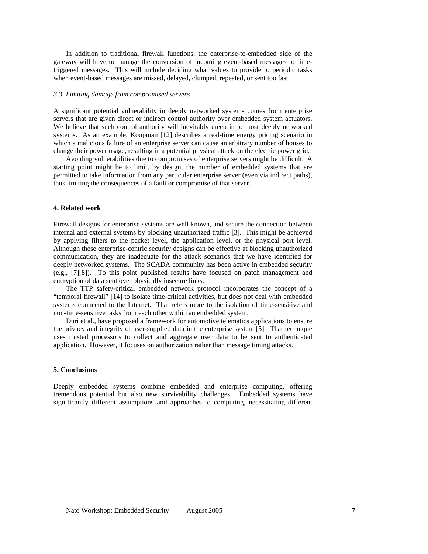In addition to traditional firewall functions, the enterprise-to-embedded side of the gateway will have to manage the conversion of incoming event-based messages to timetriggered messages. This will include deciding what values to provide to periodic tasks when event-based messages are missed, delayed, clumped, repeated, or sent too fast.

### *3.3. Limiting damage from compromised servers*

A significant potential vulnerability in deeply networked systems comes from enterprise servers that are given direct or indirect control authority over embedded system actuators. We believe that such control authority will inevitably creep in to most deeply networked systems. As an example, Koopman [12] describes a real-time energy pricing scenario in which a malicious failure of an enterprise server can cause an arbitrary number of houses to change their power usage, resulting in a potential physical attack on the electric power grid.

Avoiding vulnerabilities due to compromises of enterprise servers might be difficult. A starting point might be to limit, by design, the number of embedded systems that are permitted to take information from any particular enterprise server (even via indirect paths), thus limiting the consequences of a fault or compromise of that server.

## **4. Related work**

Firewall designs for enterprise systems are well known, and secure the connection between internal and external systems by blocking unauthorized traffic [3]. This might be achieved by applying filters to the packet level, the application level, or the physical port level. Although these enterprise-centric security designs can be effective at blocking unauthorized communication, they are inadequate for the attack scenarios that we have identified for deeply networked systems. The SCADA community has been active in embedded security (e.g., [7][8]). To this point published results have focused on patch management and encryption of data sent over physically insecure links.

The TTP safety-critical embedded network protocol incorporates the concept of a "temporal firewall" [14] to isolate time-critical activities, but does not deal with embedded systems connected to the Internet. That refers more to the isolation of time-sensitive and non-time-sensitive tasks from each other within an embedded system.

Duri et al., have proposed a framework for automotive telematics applications to ensure the privacy and integrity of user-supplied data in the enterprise system [5]. That technique uses trusted processors to collect and aggregate user data to be sent to authenticated application. However, it focuses on authorization rather than message timing attacks.

## **5. Conclusions**

Deeply embedded systems combine embedded and enterprise computing, offering tremendous potential but also new survivability challenges. Embedded systems have significantly different assumptions and approaches to computing, necessitating different